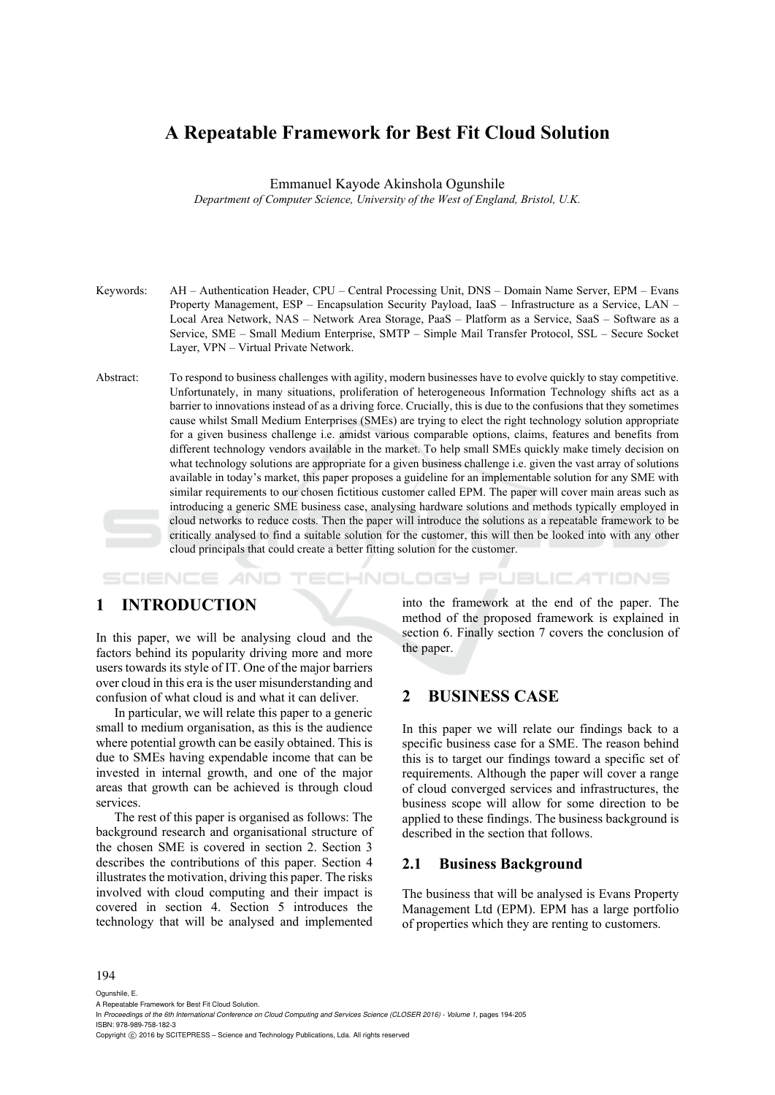# **A Repeatable Framework for Best Fit Cloud Solution**

Emmanuel Kayode Akinshola Ogunshile

*Department of Computer Science, University of the West of England, Bristol, U.K.* 

- Keywords: AH Authentication Header, CPU Central Processing Unit, DNS Domain Name Server, EPM Evans Property Management, ESP – Encapsulation Security Payload, IaaS – Infrastructure as a Service, LAN – Local Area Network, NAS – Network Area Storage, PaaS – Platform as a Service, SaaS – Software as a Service, SME – Small Medium Enterprise, SMTP – Simple Mail Transfer Protocol, SSL – Secure Socket Layer, VPN – Virtual Private Network.
- Abstract: To respond to business challenges with agility, modern businesses have to evolve quickly to stay competitive. Unfortunately, in many situations, proliferation of heterogeneous Information Technology shifts act as a barrier to innovations instead of as a driving force. Crucially, this is due to the confusions that they sometimes cause whilst Small Medium Enterprises (SMEs) are trying to elect the right technology solution appropriate for a given business challenge i.e. amidst various comparable options, claims, features and benefits from different technology vendors available in the market. To help small SMEs quickly make timely decision on what technology solutions are appropriate for a given business challenge i.e. given the vast array of solutions available in today's market, this paper proposes a guideline for an implementable solution for any SME with similar requirements to our chosen fictitious customer called EPM. The paper will cover main areas such as introducing a generic SME business case, analysing hardware solutions and methods typically employed in cloud networks to reduce costs. Then the paper will introduce the solutions as a repeatable framework to be critically analysed to find a suitable solution for the customer, this will then be looked into with any other cloud principals that could create a better fitting solution for the customer.

HNOLOGY PUBLICATIONS SCIENCE *A*ND

# **1 INTRODUCTION**

In this paper, we will be analysing cloud and the factors behind its popularity driving more and more users towards its style of IT. One of the major barriers over cloud in this era is the user misunderstanding and confusion of what cloud is and what it can deliver.

In particular, we will relate this paper to a generic small to medium organisation, as this is the audience where potential growth can be easily obtained. This is due to SMEs having expendable income that can be invested in internal growth, and one of the major areas that growth can be achieved is through cloud services.

The rest of this paper is organised as follows: The background research and organisational structure of the chosen SME is covered in section 2. Section 3 describes the contributions of this paper. Section 4 illustrates the motivation, driving this paper. The risks involved with cloud computing and their impact is covered in section 4. Section 5 introduces the technology that will be analysed and implemented

into the framework at the end of the paper. The method of the proposed framework is explained in section 6. Finally section 7 covers the conclusion of the paper.

## **2 BUSINESS CASE**

In this paper we will relate our findings back to a specific business case for a SME. The reason behind this is to target our findings toward a specific set of requirements. Although the paper will cover a range of cloud converged services and infrastructures, the business scope will allow for some direction to be applied to these findings. The business background is described in the section that follows.

### **2.1 Business Background**

The business that will be analysed is Evans Property Management Ltd (EPM). EPM has a large portfolio of properties which they are renting to customers.

#### 194

Ogunshile, E.

A Repeatable Framework for Best Fit Cloud Solution. In *Proceedings of the 6th International Conference on Cloud Computing and Services Science (CLOSER 2016) - Volume 1*, pages 194-205

ISBN: 978-989-758-182-3

Copyright C 2016 by SCITEPRESS – Science and Technology Publications, Lda. All rights reserved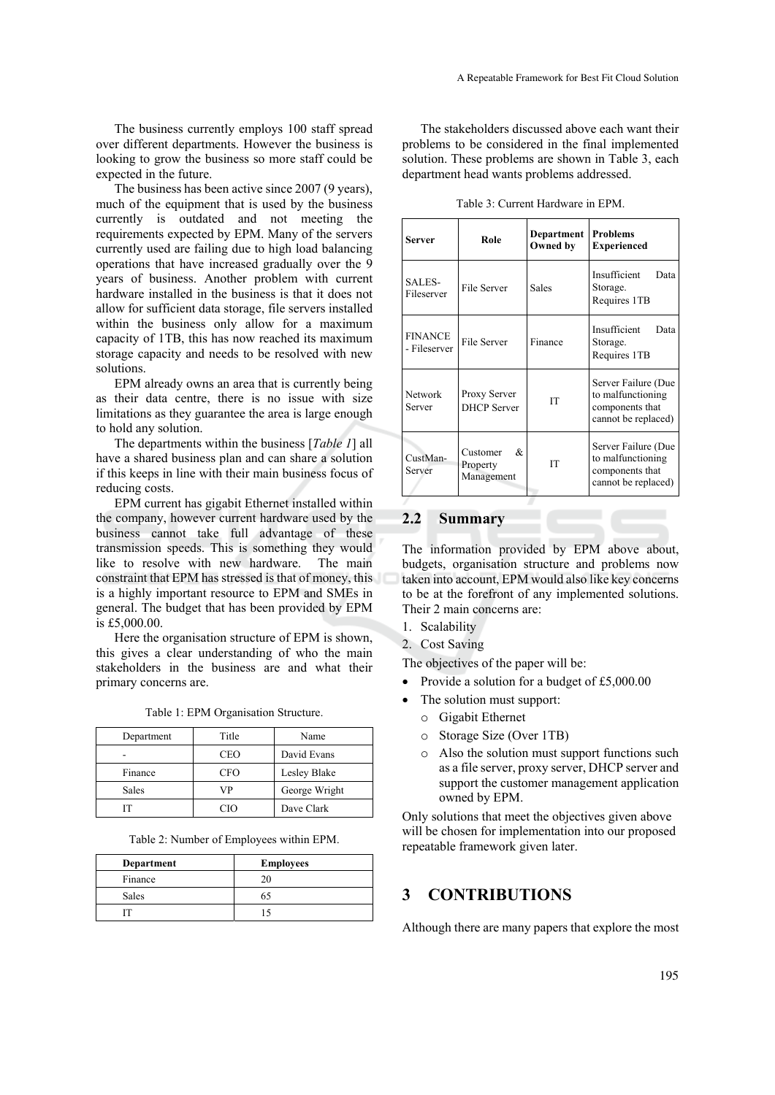The business currently employs 100 staff spread over different departments. However the business is looking to grow the business so more staff could be expected in the future.

The business has been active since 2007 (9 years), much of the equipment that is used by the business currently is outdated and not meeting the requirements expected by EPM. Many of the servers currently used are failing due to high load balancing operations that have increased gradually over the 9 years of business. Another problem with current hardware installed in the business is that it does not allow for sufficient data storage, file servers installed within the business only allow for a maximum capacity of 1TB, this has now reached its maximum storage capacity and needs to be resolved with new solutions.

EPM already owns an area that is currently being as their data centre, there is no issue with size limitations as they guarantee the area is large enough to hold any solution.

The departments within the business [*Table 1*] all have a shared business plan and can share a solution if this keeps in line with their main business focus of reducing costs.

EPM current has gigabit Ethernet installed within the company, however current hardware used by the business cannot take full advantage of these transmission speeds. This is something they would like to resolve with new hardware. The main constraint that EPM has stressed is that of money, this is a highly important resource to EPM and SMEs in general. The budget that has been provided by EPM is £5,000.00.

Here the organisation structure of EPM is shown, this gives a clear understanding of who the main stakeholders in the business are and what their primary concerns are.

|  |  | Table 1: EPM Organisation Structure. |
|--|--|--------------------------------------|
|  |  |                                      |

| Department | Title      | Name          |
|------------|------------|---------------|
|            | <b>CEO</b> | David Evans   |
| Finance    | <b>CFO</b> | Lesley Blake  |
| Sales      | VP         | George Wright |
|            | CΙO        | Dave Clark    |

Table 2: Number of Employees within EPM.

| Department   | <b>Employees</b> |
|--------------|------------------|
| Finance      |                  |
| <b>Sales</b> | בר               |
|              |                  |

The stakeholders discussed above each want their problems to be considered in the final implemented solution. These problems are shown in Table 3, each department head wants problems addressed.

| Server                         | Role                                     | Department<br>Owned by | <b>Problems</b><br><b>Experienced</b>                                              |
|--------------------------------|------------------------------------------|------------------------|------------------------------------------------------------------------------------|
| SALES-<br>Fileserver           | File Server                              | Sales                  | Insufficient<br>Data<br>Storage.<br>Requires 1TB                                   |
| <b>FINANCE</b><br>- Fileserver | File Server                              | Finance                | Insufficient<br>Data<br>Storage.<br>Requires 1TB                                   |
| Network<br>Server              | Proxy Server<br><b>DHCP</b> Server       | <b>IT</b>              | Server Failure (Due<br>to malfunctioning<br>components that<br>cannot be replaced) |
| CustMan-<br>Server             | Customer<br>&.<br>Property<br>Management | <b>IT</b>              | Server Failure (Due<br>to malfunctioning<br>components that<br>cannot be replaced) |

## **2.2 Summary**

The information provided by EPM above about, budgets, organisation structure and problems now taken into account, EPM would also like key concerns to be at the forefront of any implemented solutions. Their 2 main concerns are:

- 1. Scalability
- 2. Cost Saving

The objectives of the paper will be:

- Provide a solution for a budget of £5,000,00
- The solution must support:
	- o Gigabit Ethernet
	- o Storage Size (Over 1TB)
	- o Also the solution must support functions such as a file server, proxy server, DHCP server and support the customer management application owned by EPM.

Only solutions that meet the objectives given above will be chosen for implementation into our proposed repeatable framework given later.

## **3 CONTRIBUTIONS**

Although there are many papers that explore the most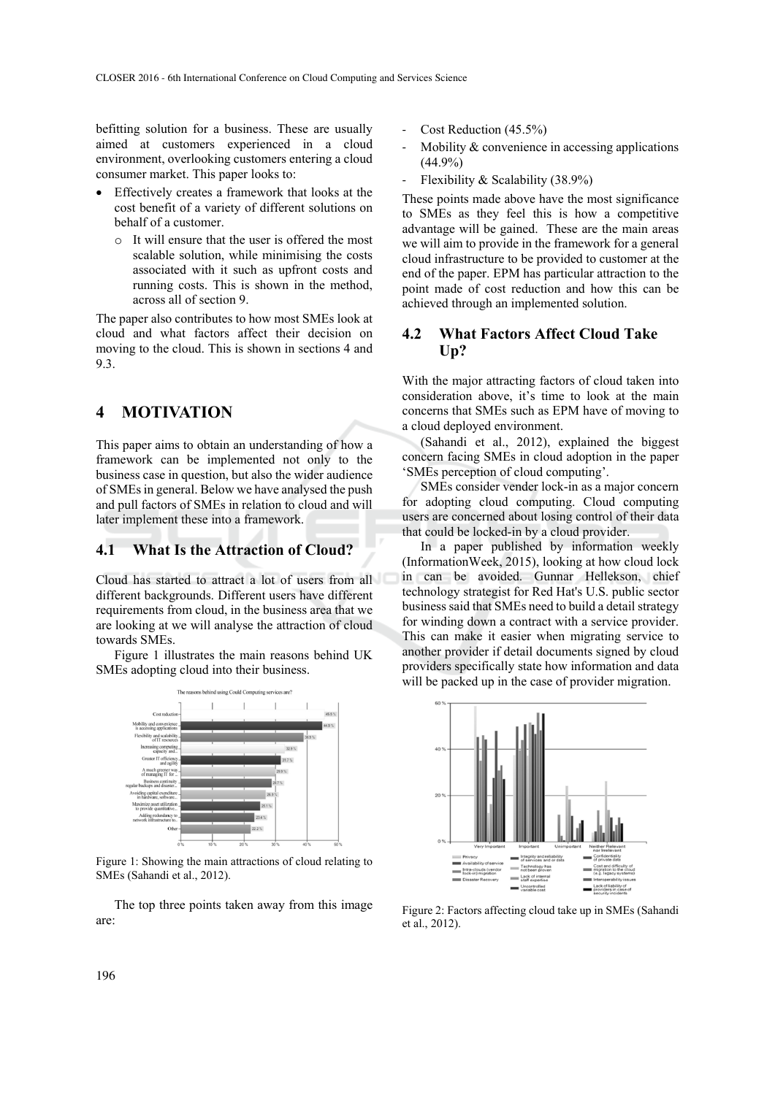befitting solution for a business. These are usually aimed at customers experienced in a cloud environment, overlooking customers entering a cloud consumer market. This paper looks to:

- Effectively creates a framework that looks at the cost benefit of a variety of different solutions on behalf of a customer.
	- o It will ensure that the user is offered the most scalable solution, while minimising the costs associated with it such as upfront costs and running costs. This is shown in the method, across all of section 9.

The paper also contributes to how most SMEs look at cloud and what factors affect their decision on moving to the cloud. This is shown in sections 4 and 9.3.

# **4 MOTIVATION**

This paper aims to obtain an understanding of how a framework can be implemented not only to the business case in question, but also the wider audience of SMEs in general. Below we have analysed the push and pull factors of SMEs in relation to cloud and will later implement these into a framework.

### **4.1 What Is the Attraction of Cloud?**

Cloud has started to attract a lot of users from all different backgrounds. Different users have different requirements from cloud, in the business area that we are looking at we will analyse the attraction of cloud towards SMEs.

Figure 1 illustrates the main reasons behind UK SMEs adopting cloud into their business.



Figure 1: Showing the main attractions of cloud relating to SMEs (Sahandi et al., 2012).

The top three points taken away from this image are:

- Cost Reduction (45.5%)
- Mobility  $&$  convenience in accessing applications (44.9%)
- ‐ Flexibility & Scalability (38.9%)

These points made above have the most significance to SMEs as they feel this is how a competitive advantage will be gained. These are the main areas we will aim to provide in the framework for a general cloud infrastructure to be provided to customer at the end of the paper. EPM has particular attraction to the point made of cost reduction and how this can be achieved through an implemented solution.

## **4.2 What Factors Affect Cloud Take Up?**

With the major attracting factors of cloud taken into consideration above, it's time to look at the main concerns that SMEs such as EPM have of moving to a cloud deployed environment.

(Sahandi et al., 2012), explained the biggest concern facing SMEs in cloud adoption in the paper 'SMEs perception of cloud computing'.

SMEs consider vender lock-in as a major concern for adopting cloud computing. Cloud computing users are concerned about losing control of their data that could be locked-in by a cloud provider.

In a paper published by information weekly (InformationWeek, 2015), looking at how cloud lock in can be avoided. Gunnar Hellekson, chief technology strategist for Red Hat's U.S. public sector business said that SMEs need to build a detail strategy for winding down a contract with a service provider. This can make it easier when migrating service to another provider if detail documents signed by cloud providers specifically state how information and data will be packed up in the case of provider migration.



Figure 2: Factors affecting cloud take up in SMEs (Sahandi et al., 2012).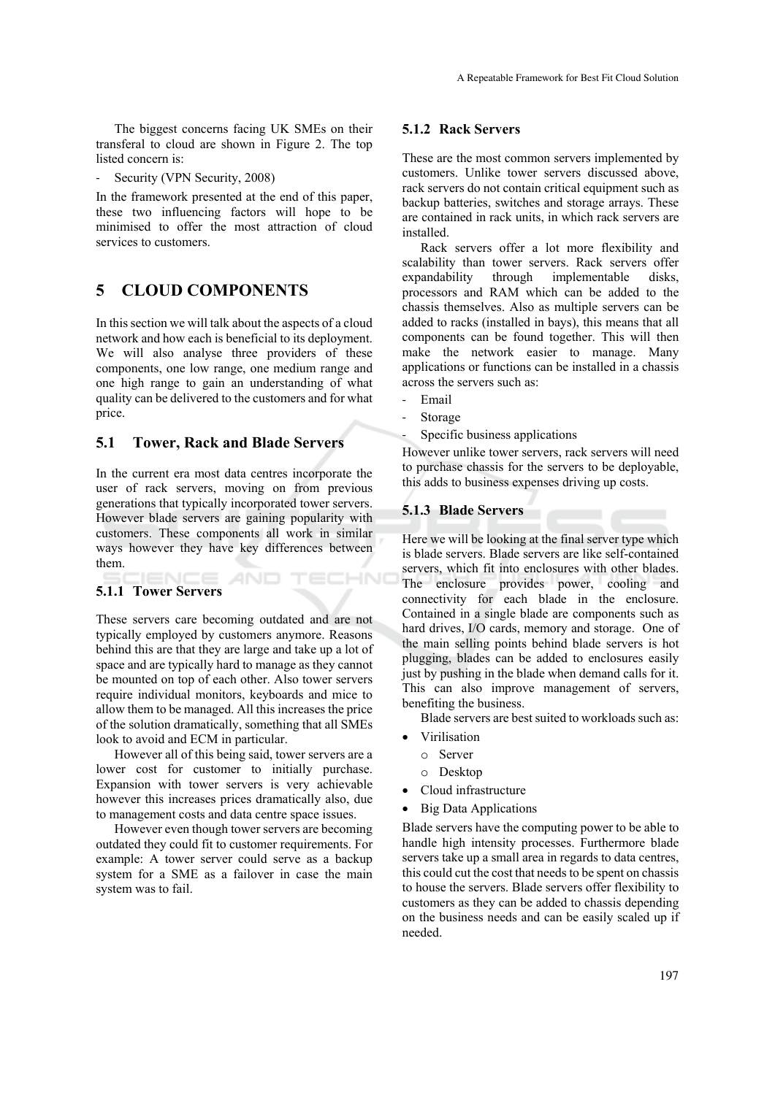The biggest concerns facing UK SMEs on their transferal to cloud are shown in Figure 2. The top listed concern is:

Security (VPN Security, 2008)

In the framework presented at the end of this paper, these two influencing factors will hope to be minimised to offer the most attraction of cloud services to customers.

# **5 CLOUD COMPONENTS**

In this section we will talk about the aspects of a cloud network and how each is beneficial to its deployment. We will also analyse three providers of these components, one low range, one medium range and one high range to gain an understanding of what quality can be delivered to the customers and for what price.

## **5.1 Tower, Rack and Blade Servers**

In the current era most data centres incorporate the user of rack servers, moving on from previous generations that typically incorporated tower servers. However blade servers are gaining popularity with customers. These components all work in similar ways however they have key differences between them.

AND

## **5.1.1 Tower Servers**

These servers care becoming outdated and are not typically employed by customers anymore. Reasons behind this are that they are large and take up a lot of space and are typically hard to manage as they cannot be mounted on top of each other. Also tower servers require individual monitors, keyboards and mice to allow them to be managed. All this increases the price of the solution dramatically, something that all SMEs look to avoid and ECM in particular.

However all of this being said, tower servers are a lower cost for customer to initially purchase. Expansion with tower servers is very achievable however this increases prices dramatically also, due to management costs and data centre space issues.

However even though tower servers are becoming outdated they could fit to customer requirements. For example: A tower server could serve as a backup system for a SME as a failover in case the main system was to fail.

### **5.1.2 Rack Servers**

These are the most common servers implemented by customers. Unlike tower servers discussed above, rack servers do not contain critical equipment such as backup batteries, switches and storage arrays. These are contained in rack units, in which rack servers are installed.

Rack servers offer a lot more flexibility and scalability than tower servers. Rack servers offer expandability through implementable disks, processors and RAM which can be added to the chassis themselves. Also as multiple servers can be added to racks (installed in bays), this means that all components can be found together. This will then make the network easier to manage. Many applications or functions can be installed in a chassis across the servers such as:

‐ Email

:HNC

- ‐ Storage
- Specific business applications

However unlike tower servers, rack servers will need to purchase chassis for the servers to be deployable, this adds to business expenses driving up costs.

### **5.1.3 Blade Servers**

Here we will be looking at the final server type which is blade servers. Blade servers are like self-contained servers, which fit into enclosures with other blades. The enclosure provides power, cooling and connectivity for each blade in the enclosure. Contained in a single blade are components such as hard drives, I/O cards, memory and storage. One of the main selling points behind blade servers is hot plugging, blades can be added to enclosures easily just by pushing in the blade when demand calls for it. This can also improve management of servers, benefiting the business.

Blade servers are best suited to workloads such as:

- Virilisation
	- o Server
	- o Desktop
- Cloud infrastructure
- Big Data Applications

Blade servers have the computing power to be able to handle high intensity processes. Furthermore blade servers take up a small area in regards to data centres, this could cut the cost that needs to be spent on chassis to house the servers. Blade servers offer flexibility to customers as they can be added to chassis depending on the business needs and can be easily scaled up if needed.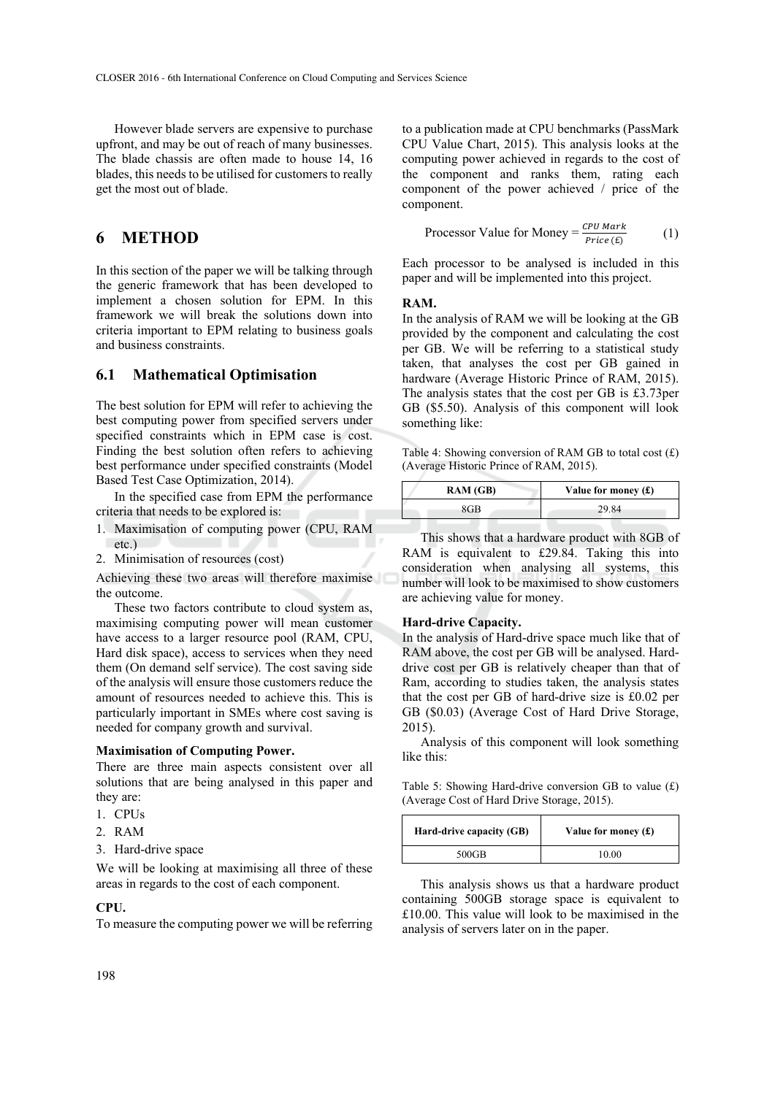However blade servers are expensive to purchase upfront, and may be out of reach of many businesses. The blade chassis are often made to house 14, 16 blades, this needs to be utilised for customers to really get the most out of blade.

## **6 METHOD**

In this section of the paper we will be talking through the generic framework that has been developed to implement a chosen solution for EPM. In this framework we will break the solutions down into criteria important to EPM relating to business goals and business constraints.

### **6.1 Mathematical Optimisation**

The best solution for EPM will refer to achieving the best computing power from specified servers under specified constraints which in EPM case is cost. Finding the best solution often refers to achieving best performance under specified constraints (Model Based Test Case Optimization, 2014).

In the specified case from EPM the performance criteria that needs to be explored is:

- 1. Maximisation of computing power (CPU, RAM etc.)
- 2. Minimisation of resources (cost)

Achieving these two areas will therefore maximise the outcome.

These two factors contribute to cloud system as, maximising computing power will mean customer have access to a larger resource pool (RAM, CPU, Hard disk space), access to services when they need them (On demand self service). The cost saving side of the analysis will ensure those customers reduce the amount of resources needed to achieve this. This is particularly important in SMEs where cost saving is needed for company growth and survival.

#### **Maximisation of Computing Power.**

There are three main aspects consistent over all solutions that are being analysed in this paper and they are:

- 1. CPUs
- 2. RAM
- 3. Hard-drive space

We will be looking at maximising all three of these areas in regards to the cost of each component.

#### **CPU.**

To measure the computing power we will be referring

to a publication made at CPU benchmarks (PassMark CPU Value Chart, 2015). This analysis looks at the computing power achieved in regards to the cost of the component and ranks them, rating each component of the power achieved / price of the component.

$$
Processor Value for Money = \frac{CPU \text{ Mark}_{Price (E)}}{Price (E)}
$$
 (1)

Each processor to be analysed is included in this paper and will be implemented into this project.

#### **RAM.**

In the analysis of RAM we will be looking at the GB provided by the component and calculating the cost per GB. We will be referring to a statistical study taken, that analyses the cost per GB gained in hardware (Average Historic Prince of RAM, 2015). The analysis states that the cost per GB is £3.73per GB (\$5.50). Analysis of this component will look something like:

Table 4: Showing conversion of RAM GB to total cost (£) (Average Historic Prince of RAM, 2015).

| RAM(GB) | Value for money $(f)$ |
|---------|-----------------------|
| 8GB     | 29.84                 |

This shows that a hardware product with 8GB of RAM is equivalent to £29.84. Taking this into consideration when analysing all systems, this number will look to be maximised to show customers are achieving value for money.

#### **Hard-drive Capacity.**

In the analysis of Hard-drive space much like that of RAM above, the cost per GB will be analysed. Harddrive cost per GB is relatively cheaper than that of Ram, according to studies taken, the analysis states that the cost per GB of hard-drive size is £0.02 per GB (\$0.03) (Average Cost of Hard Drive Storage, 2015).

Analysis of this component will look something like this:

Table 5: Showing Hard-drive conversion GB to value (£) (Average Cost of Hard Drive Storage, 2015).

| Hard-drive capacity (GB) | Value for money $(f)$ |
|--------------------------|-----------------------|
| 500GB                    | 10.00                 |

This analysis shows us that a hardware product containing 500GB storage space is equivalent to £10.00. This value will look to be maximised in the analysis of servers later on in the paper.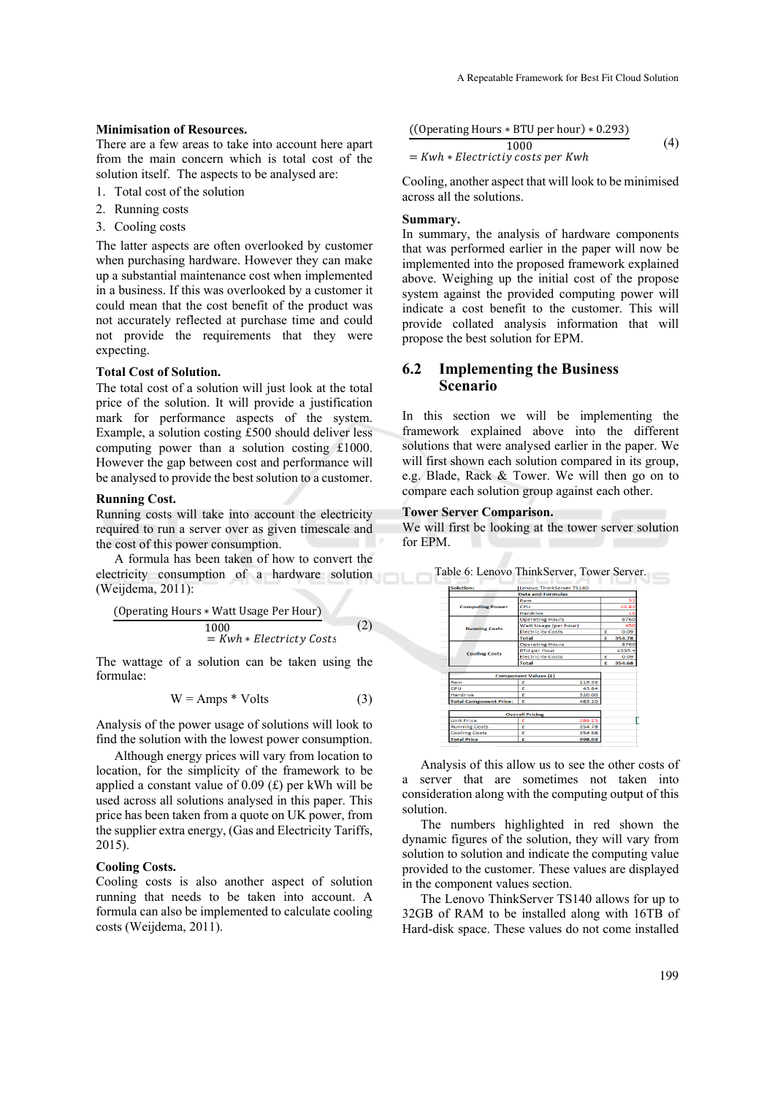#### **Minimisation of Resources.**

There are a few areas to take into account here apart from the main concern which is total cost of the solution itself. The aspects to be analysed are:

- 1. Total cost of the solution
- 2. Running costs
- 3. Cooling costs

The latter aspects are often overlooked by customer when purchasing hardware. However they can make up a substantial maintenance cost when implemented in a business. If this was overlooked by a customer it could mean that the cost benefit of the product was not accurately reflected at purchase time and could not provide the requirements that they were expecting.

#### **Total Cost of Solution.**

The total cost of a solution will just look at the total price of the solution. It will provide a justification mark for performance aspects of the system. Example, a solution costing £500 should deliver less computing power than a solution costing £1000. However the gap between cost and performance will be analysed to provide the best solution to a customer.

#### **Running Cost.**

Running costs will take into account the electricity required to run a server over as given timescale and the cost of this power consumption.

A formula has been taken of how to convert the electricity consumption of a hardware solution (Weijdema, 2011):

$$
\frac{\text{(Operating Hours * Watt Usage Per Hour)}}{1000} = Kwh * Electricty \text{ Costs} \tag{2}
$$

The wattage of a solution can be taken using the formulae:

$$
W = Amps * Volts
$$
 (3)

Analysis of the power usage of solutions will look to find the solution with the lowest power consumption.

Although energy prices will vary from location to location, for the simplicity of the framework to be applied a constant value of  $0.09$  (£) per kWh will be used across all solutions analysed in this paper. This price has been taken from a quote on UK power, from the supplier extra energy, (Gas and Electricity Tariffs, 2015).

#### **Cooling Costs.**

Cooling costs is also another aspect of solution running that needs to be taken into account. A formula can also be implemented to calculate cooling costs (Weijdema, 2011).

$$
\frac{((Operating \, Hours * BTU \, per \, hour) * 0.293)}{1000}
$$
\n= *Kwh \* Electricity costs per Kwh* (4)

Cooling, another aspect that will look to be minimised across all the solutions.

### **Summary.**

In summary, the analysis of hardware components that was performed earlier in the paper will now be implemented into the proposed framework explained above. Weighing up the initial cost of the propose system against the provided computing power will indicate a cost benefit to the customer. This will provide collated analysis information that will propose the best solution for EPM.

## **6.2 Implementing the Business Scenario**

In this section we will be implementing the framework explained above into the different solutions that were analysed earlier in the paper. We will first shown each solution compared in its group, e.g. Blade, Rack & Tower. We will then go on to compare each solution group against each other.

#### **Tower Server Comparison.**

We will first be looking at the tower server solution for EPM.

| Solution:                     | Lenovo ThinkServer TS140    |  |        |
|-------------------------------|-----------------------------|--|--------|
|                               | <b>Data and Formulas</b>    |  |        |
|                               | Ram                         |  | 32     |
| <b>Computing Power</b>        | CPU                         |  | 43.84  |
|                               | Hardrive                    |  | 16     |
|                               | <b>Operating Hours</b>      |  | 8760   |
| <b>Running Costs</b>          | Watt Usage (per hour)       |  | 450    |
|                               | <b>Electricity Costs</b>    |  | 0.09   |
|                               | <b>Total</b>                |  | 354.78 |
|                               | <b>Operating Hours</b>      |  | 8760   |
| <b>Cooling Costs</b>          | <b>BTU per Hour</b>         |  | 1535.4 |
|                               | <b>Electricity Costs</b>    |  | 0.09   |
|                               | Total                       |  | 354.68 |
|                               |                             |  |        |
|                               | <b>Component Values (£)</b> |  |        |
| Ram                           | £<br>119.36                 |  |        |
| CPU                           | 43.84<br>e                  |  |        |
| <b>Hardrive</b>               | £<br>320.00                 |  |        |
| <b>Total Component Price:</b> | £<br>483.20                 |  |        |
|                               |                             |  |        |
| <b>Overall Pricing</b>        |                             |  |        |
| <b>Unit Price</b>             | 289.23<br>é                 |  |        |
| <b>Running Costs</b>          | £<br>354.78                 |  |        |
| <b>Cooling Costs</b>          | £<br>354.68                 |  |        |
| <b>Total Price</b>            | £<br>998.69                 |  |        |

Table 6: Lenovo ThinkServer, Tower Server.

Analysis of this allow us to see the other costs of a server that are sometimes not taken into consideration along with the computing output of this solution.

The numbers highlighted in red shown the dynamic figures of the solution, they will vary from solution to solution and indicate the computing value provided to the customer. These values are displayed in the component values section.

The Lenovo ThinkServer TS140 allows for up to 32GB of RAM to be installed along with 16TB of Hard-disk space. These values do not come installed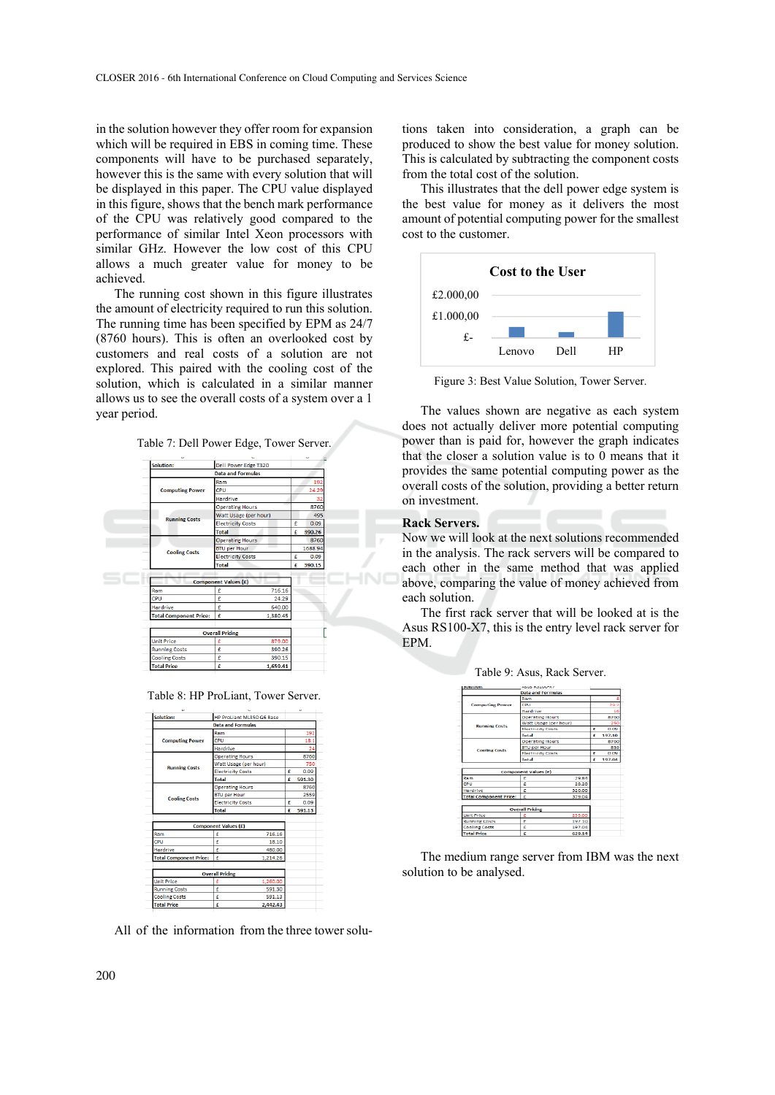in the solution however they offer room for expansion which will be required in EBS in coming time. These components will have to be purchased separately, however this is the same with every solution that will be displayed in this paper. The CPU value displayed in this figure, shows that the bench mark performance of the CPU was relatively good compared to the performance of similar Intel Xeon processors with similar GHz. However the low cost of this CPU allows a much greater value for money to be achieved.

The running cost shown in this figure illustrates the amount of electricity required to run this solution. The running time has been specified by EPM as 24/7 (8760 hours). This is often an overlooked cost by customers and real costs of a solution are not explored. This paired with the cooling cost of the solution, which is calculated in a similar manner allows us to see the overall costs of a system over a 1 year period.



| <b>Solution:</b>              | Dell Power Edge T320            |   |         |
|-------------------------------|---------------------------------|---|---------|
|                               |                                 |   |         |
|                               | <b>Data and Formulas</b><br>Ram |   | 192     |
| <b>Computing Power</b>        | CPU                             |   | 24.29   |
|                               | <b>Hardrive</b>                 |   | 32      |
|                               | <b>Operating Hours</b>          |   | 8760    |
|                               | <b>Watt Usage (per hour)</b>    |   | 495     |
| <b>Running Costs</b>          | <b>Electricity Costs</b>        | £ | 0.09    |
|                               | <b>Total</b>                    | £ | 390.26  |
|                               | <b>Operating Hours</b>          |   | 8760    |
|                               | <b>BTU per Hour</b>             |   | 1688.94 |
| <b>Cooling Costs</b>          | <b>Electricity Costs</b>        | £ | 0.09    |
|                               | <b>Total</b>                    | £ | 390.15  |
|                               |                                 |   |         |
|                               |                                 |   |         |
|                               | <b>Component Values (£)</b>     |   |         |
| Ram                           | 716.16<br>£                     |   |         |
| CPU                           | £<br>24.29                      |   |         |
| <b>Hardrive</b>               | £<br>640.00                     |   |         |
| <b>Total Component Price:</b> | £<br>1.380.45                   |   |         |
|                               |                                 |   |         |
|                               | <b>Overall Pricing</b>          |   |         |
| <b>Unit Price</b>             | £<br>879.00                     |   |         |
| <b>Running Costs</b>          | £<br>390.26                     |   |         |
| <b>Cooling Costs</b>          | 390.15<br>£                     |   |         |

Table 8: HP ProLiant, Tower Server.



All of the information from the three tower solu-

tions taken into consideration, a graph can be produced to show the best value for money solution. This is calculated by subtracting the component costs from the total cost of the solution.

This illustrates that the dell power edge system is the best value for money as it delivers the most amount of potential computing power for the smallest cost to the customer.



Figure 3: Best Value Solution, Tower Server.

The values shown are negative as each system does not actually deliver more potential computing power than is paid for, however the graph indicates that the closer a solution value is to 0 means that it provides the same potential computing power as the overall costs of the solution, providing a better return on investment.

### **Rack Servers.**

Now we will look at the next solutions recommended in the analysis. The rack servers will be compared to each other in the same method that was applied above, comparing the value of money achieved from each solution.

The first rack server that will be looked at is the Asus RS100-X7, this is the entry level rack server for EPM.

| <b>OURSERVIEL</b>             | <b>MSUS NO LUUTA?</b>       |   |        |
|-------------------------------|-----------------------------|---|--------|
|                               | <b>Data and Formulas</b>    |   |        |
|                               | Ram                         |   |        |
| <b>Computing Power</b>        | CPU                         |   | 29.2   |
|                               | Hardrive                    |   | 16     |
|                               | <b>Operating Hours</b>      |   | 8760   |
| <b>Running Costs</b>          | Watt Usage (per hour)       |   | 250    |
|                               | <b>Electricity Costs</b>    |   | 0.09   |
|                               | Total                       | Ĕ | 197.10 |
|                               | <b>Operating Hours</b>      |   | 8760   |
| <b>Cooling Costs</b>          | <b>BTU per Hour</b>         |   | 858    |
|                               | <b>Electricity Costs</b>    |   | 0.09   |
|                               | Total                       | £ | 197.04 |
|                               |                             |   |        |
|                               | <b>Component Values (£)</b> |   |        |
| Ram                           | 29.84<br>r                  |   |        |
| CPU                           | 29.20<br>£                  |   |        |
| Hardrive<br>£.<br>320.00      |                             |   |        |
| <b>Total Component Price:</b> | £<br>379.04                 |   |        |
|                               |                             |   |        |
|                               | <b>Overall Pricing</b>      |   |        |
| <b>Unit Price</b>             | 235.00                      |   |        |
| <b>Running Costs</b>          | £<br>197.10                 |   |        |
| <b>Cooling Costs</b>          | £<br>197.04                 |   |        |
| <b>Total Price</b>            | £<br>629.14                 |   |        |

Table 9: Asus, Rack Server.

The medium range server from IBM was the next solution to be analysed.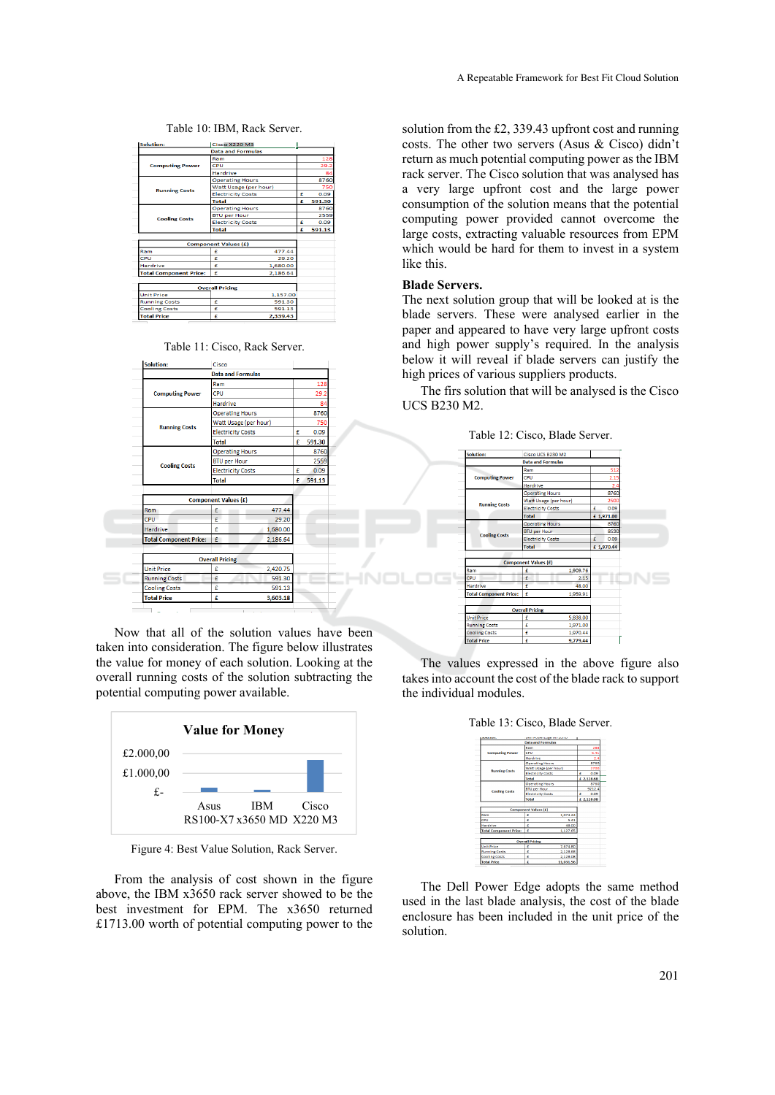|  | Table 10: IBM, Rack Server. |
|--|-----------------------------|
|--|-----------------------------|

| Solution:                                      | Cisco X220 MS               |                       |   |        |
|------------------------------------------------|-----------------------------|-----------------------|---|--------|
|                                                | <b>Data and Formulas</b>    |                       |   |        |
|                                                | Ram                         |                       |   | 128    |
| <b>Computing Power</b>                         | CPU                         |                       |   | 29.2   |
|                                                | <b>Hardrive</b>             |                       |   | 84     |
|                                                | <b>Operating Hours</b>      |                       |   | 8760   |
| <b>Running Costs</b>                           |                             | Watt Usage (per hour) |   | 750    |
|                                                | <b>Electricity Costs</b>    |                       | £ | 0.09   |
|                                                | <b>Total</b>                |                       | £ | 591.30 |
|                                                | <b>Operating Hours</b>      |                       |   | 8760   |
| <b>Cooling Costs</b>                           | <b>BTU per Hour</b>         |                       |   | 2559   |
|                                                | <b>Electricity Costs</b>    |                       | £ | 0.09   |
|                                                | <b>Total</b>                |                       | £ | 591.13 |
|                                                |                             |                       |   |        |
|                                                | <b>Component Values (£)</b> |                       |   |        |
| Ram                                            | £                           | 477.44                |   |        |
| CPU                                            | £                           | 29.20                 |   |        |
| Hardrive                                       | £                           | 1,680.00              |   |        |
| £<br><b>Total Component Price:</b><br>2,186.64 |                             |                       |   |        |
|                                                |                             |                       |   |        |
|                                                | <b>Overall Pricing</b>      |                       |   |        |
| <b>Unit Price</b>                              |                             | 1,157.00              |   |        |
| <b>Running Costs</b>                           | £                           | 591.30                |   |        |
| <b>Cooling Costs</b>                           | £                           | 591.13                |   |        |
| <b>Total Price</b>                             | ¢                           | 2.339.43              |   |        |

Table 11: Cisco, Rack Server.



Now that all of the solution values have been taken into consideration. The figure below illustrates the value for money of each solution. Looking at the overall running costs of the solution subtracting the potential computing power available.



Figure 4: Best Value Solution, Rack Server.

From the analysis of cost shown in the figure above, the IBM x3650 rack server showed to be the best investment for EPM. The x3650 returned £1713.00 worth of potential computing power to the

solution from the £2, 339.43 upfront cost and running costs. The other two servers (Asus & Cisco) didn't return as much potential computing power as the IBM rack server. The Cisco solution that was analysed has a very large upfront cost and the large power consumption of the solution means that the potential computing power provided cannot overcome the large costs, extracting valuable resources from EPM which would be hard for them to invest in a system like this.

#### **Blade Servers.**

The next solution group that will be looked at is the blade servers. These were analysed earlier in the paper and appeared to have very large upfront costs and high power supply's required. In the analysis below it will reveal if blade servers can justify the high prices of various suppliers products.

The firs solution that will be analysed is the Cisco UCS B230 M2.

Table 12: Cisco, Blade Server.



The values expressed in the above figure also takes into account the cost of the blade rack to support the individual modules.

Table 13: Cisco, Blade Server.

| <b>MANAGERITY</b>             | WELL EMPERATURE IN FAMILY   |            |
|-------------------------------|-----------------------------|------------|
|                               | <b>Data and Formulas</b>    |            |
| <b>Computing Power</b>        | Ram                         | 288        |
|                               | CPU                         | 5.41       |
|                               | Hardrive                    | 2.4        |
| <b>Running Costs</b>          | <b>Operating Hours</b>      | 8760       |
|                               | Watt Usage (per hour)       | 2700       |
|                               | <b>Electricity Costs</b>    | ¢<br>0.09  |
|                               | Total                       | £ 2.128.68 |
| <b>Cooling Costs</b>          | <b>Operating Hours</b>      | 8760       |
|                               | <b>BTU per Hour</b>         | 9212.4     |
|                               | <b>Electricity Costs</b>    | ¢<br>0.09  |
|                               | <b>Total</b>                | £ 2,128.08 |
|                               |                             |            |
|                               | <b>Component Values (£)</b> |            |
| Ram                           | é<br>1.074.24               |            |
| CPII                          | ¢<br>5.41                   |            |
| Hardrive                      | ٠<br>48.00                  |            |
| <b>Total Component Price:</b> | ٠<br>1,127.65               |            |
|                               |                             |            |
|                               | <b>Overall Pricing</b>      |            |
| <b>Unit Price</b>             | ¢<br>7.674.80               |            |
| <b>Running Costs</b>          | £<br>2.128.68               |            |
| <b>Cooling Costs</b>          | ŧ<br>2,128.08               |            |
| <b>Total Price</b>            | ¢<br>11.931.56              |            |

The Dell Power Edge adopts the same method used in the last blade analysis, the cost of the blade enclosure has been included in the unit price of the solution.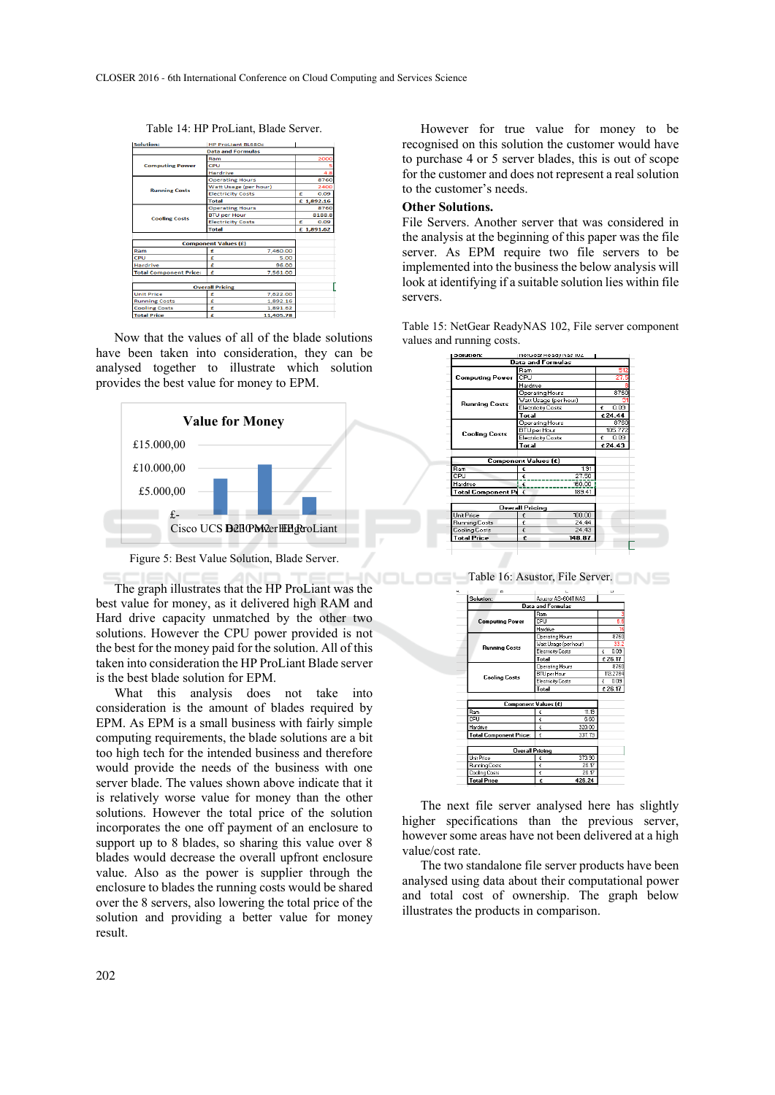Table 14: HP ProLiant, Blade Server.

| Solution:                     | <b>HP ProLiant BL680c</b>   |            |
|-------------------------------|-----------------------------|------------|
|                               | <b>Data and Formulas</b>    |            |
| <b>Computing Power</b>        | Ram                         | 2000       |
|                               | CPU                         |            |
|                               | <b>Hardrive</b>             |            |
| <b>Running Costs</b>          | <b>Operating Hours</b>      | 8760       |
|                               | Watt Usage (per hour)       | 2400       |
|                               | <b>Electricity Costs</b>    | 0.09<br>£  |
|                               | <b>Total</b>                | £ 1,892.16 |
| <b>Cooling Costs</b>          | <b>Operating Hours</b>      | 8760       |
|                               | <b>BTU per Hour</b>         | 8188.8     |
|                               | <b>Electricity Costs</b>    | 0.09<br>£  |
|                               | <b>Total</b>                | £ 1,891.62 |
|                               |                             |            |
|                               | <b>Component Values (£)</b> |            |
| Ram                           | 7,460.00<br>£               |            |
| CPU                           | 5.00<br>£                   |            |
| <b>Hardrive</b>               | 96.00<br>£                  |            |
| <b>Total Component Price:</b> | £<br>7.561.00               |            |
|                               |                             |            |
|                               | <b>Overall Pricing</b>      |            |
| <b>Unit Price</b>             | 7,622.00<br>£               |            |
| <b>Running Costs</b>          | £<br>1,892.16               |            |
| <b>Cooling Costs</b>          | £<br>1,891.62               |            |
| <b>Total Price</b>            | ¢<br>11.405.78              |            |

Now that the values of all of the blade solutions have been taken into consideration, they can be analysed together to illustrate which solution provides the best value for money to EPM.



Figure 5: Best Value Solution, Blade Server.

The graph illustrates that the HP ProLiant was the best value for money, as it delivered high RAM and Hard drive capacity unmatched by the other two solutions. However the CPU power provided is not the best for the money paid for the solution. All of this taken into consideration the HP ProLiant Blade server is the best blade solution for EPM.

What this analysis does not take into consideration is the amount of blades required by EPM. As EPM is a small business with fairly simple computing requirements, the blade solutions are a bit too high tech for the intended business and therefore would provide the needs of the business with one server blade. The values shown above indicate that it is relatively worse value for money than the other solutions. However the total price of the solution incorporates the one off payment of an enclosure to support up to 8 blades, so sharing this value over 8 blades would decrease the overall upfront enclosure value. Also as the power is supplier through the enclosure to blades the running costs would be shared over the 8 servers, also lowering the total price of the solution and providing a better value for money result.

However for true value for money to be recognised on this solution the customer would have to purchase 4 or 5 server blades, this is out of scope for the customer and does not represent a real solution to the customer's needs.

### **Other Solutions.**

File Servers. Another server that was considered in the analysis at the beginning of this paper was the file server. As EPM require two file servers to be implemented into the business the below analysis will look at identifying if a suitable solution lies within file servers.

Table 15: NetGear ReadyNAS 102, File server component values and running costs.



Table 16: Asustor, File Server.

|                     |        | ω                                                                                                                                                                                                             |  |
|---------------------|--------|---------------------------------------------------------------------------------------------------------------------------------------------------------------------------------------------------------------|--|
| Asustor AS-604T NAS |        |                                                                                                                                                                                                               |  |
|                     |        |                                                                                                                                                                                                               |  |
| Ram                 |        |                                                                                                                                                                                                               |  |
| <b>CPIT</b>         |        | 6.6                                                                                                                                                                                                           |  |
| Hardrive            |        | 16                                                                                                                                                                                                            |  |
|                     |        | 8760                                                                                                                                                                                                          |  |
|                     |        | 33                                                                                                                                                                                                            |  |
|                     |        | 0.09<br>£                                                                                                                                                                                                     |  |
| Total               |        | £26.17                                                                                                                                                                                                        |  |
|                     |        | 8760                                                                                                                                                                                                          |  |
|                     |        | 113.2784                                                                                                                                                                                                      |  |
|                     |        | 0.09<br>£                                                                                                                                                                                                     |  |
|                     |        | £26.17                                                                                                                                                                                                        |  |
|                     |        |                                                                                                                                                                                                               |  |
|                     |        |                                                                                                                                                                                                               |  |
| £                   | 11.19  |                                                                                                                                                                                                               |  |
| £                   |        |                                                                                                                                                                                                               |  |
| 320.00<br>£         |        |                                                                                                                                                                                                               |  |
| £                   | 337.79 |                                                                                                                                                                                                               |  |
|                     |        |                                                                                                                                                                                                               |  |
| Overall Pricing     |        |                                                                                                                                                                                                               |  |
| £                   | 373.90 |                                                                                                                                                                                                               |  |
| £                   | 26.17  |                                                                                                                                                                                                               |  |
| €                   | 26.17  |                                                                                                                                                                                                               |  |
| £                   | 426.24 |                                                                                                                                                                                                               |  |
|                     | Total  | <b>Data and Formulas</b><br>Operating Hours<br>Watt Usage (per hour)<br><b>Electricity Costs</b><br><b>Operating Hours</b><br><b>BTU</b> per Hour<br><b>Electricity Costs</b><br>Component Values (£)<br>6.60 |  |

The next file server analysed here has slightly higher specifications than the previous server, however some areas have not been delivered at a high value/cost rate.

The two standalone file server products have been analysed using data about their computational power and total cost of ownership. The graph below illustrates the products in comparison.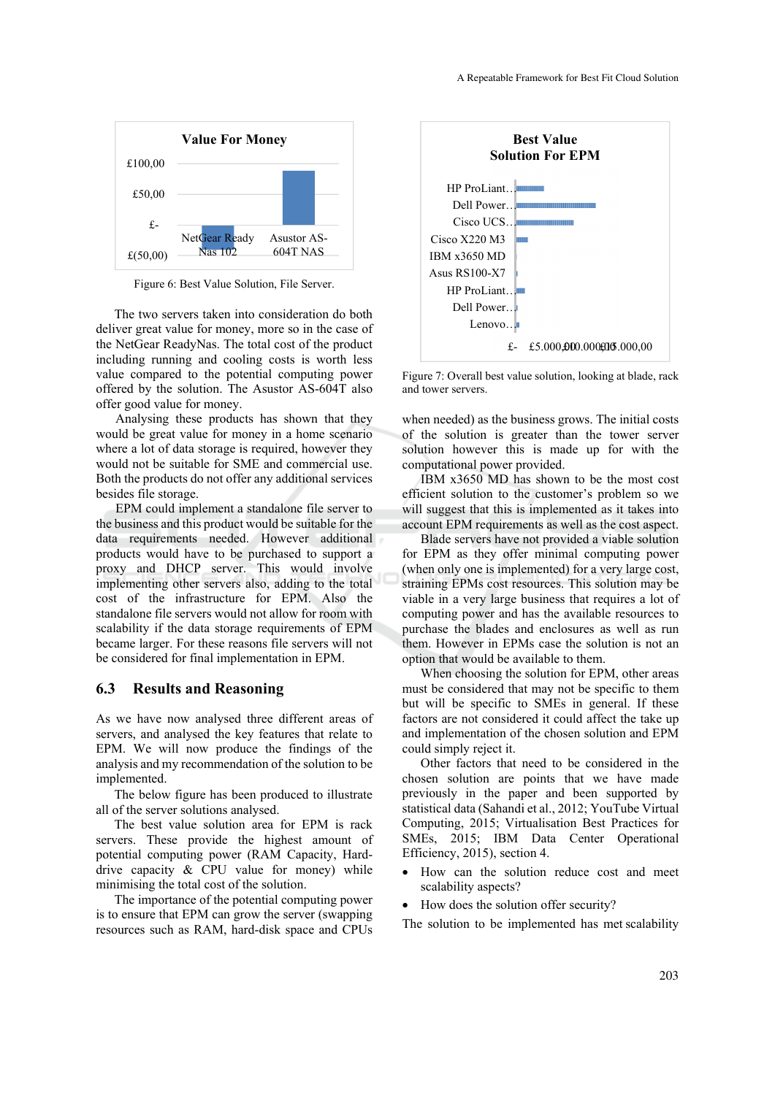

Figure 6: Best Value Solution, File Server.

The two servers taken into consideration do both deliver great value for money, more so in the case of the NetGear ReadyNas. The total cost of the product including running and cooling costs is worth less value compared to the potential computing power offered by the solution. The Asustor AS-604T also offer good value for money.

Analysing these products has shown that they would be great value for money in a home scenario where a lot of data storage is required, however they would not be suitable for SME and commercial use. Both the products do not offer any additional services besides file storage.

EPM could implement a standalone file server to the business and this product would be suitable for the data requirements needed. However additional products would have to be purchased to support a proxy and DHCP server. This would involve implementing other servers also, adding to the total cost of the infrastructure for EPM. Also the standalone file servers would not allow for room with scalability if the data storage requirements of EPM became larger. For these reasons file servers will not be considered for final implementation in EPM.

#### **6.3 Results and Reasoning**

As we have now analysed three different areas of servers, and analysed the key features that relate to EPM. We will now produce the findings of the analysis and my recommendation of the solution to be implemented.

The below figure has been produced to illustrate all of the server solutions analysed.

The best value solution area for EPM is rack servers. These provide the highest amount of potential computing power (RAM Capacity, Harddrive capacity & CPU value for money) while minimising the total cost of the solution.

The importance of the potential computing power is to ensure that EPM can grow the server (swapping resources such as RAM, hard-disk space and CPUs



Figure 7: Overall best value solution, looking at blade, rack and tower servers.

when needed) as the business grows. The initial costs of the solution is greater than the tower server solution however this is made up for with the computational power provided.

IBM x3650 MD has shown to be the most cost efficient solution to the customer's problem so we will suggest that this is implemented as it takes into account EPM requirements as well as the cost aspect.

Blade servers have not provided a viable solution for EPM as they offer minimal computing power (when only one is implemented) for a very large cost, straining EPMs cost resources. This solution may be viable in a very large business that requires a lot of computing power and has the available resources to purchase the blades and enclosures as well as run them. However in EPMs case the solution is not an option that would be available to them.

When choosing the solution for EPM, other areas must be considered that may not be specific to them but will be specific to SMEs in general. If these factors are not considered it could affect the take up and implementation of the chosen solution and EPM could simply reject it.

Other factors that need to be considered in the chosen solution are points that we have made previously in the paper and been supported by statistical data (Sahandi et al., 2012; YouTube Virtual Computing, 2015; Virtualisation Best Practices for SMEs, 2015; IBM Data Center Operational Efficiency, 2015), section 4.

- How can the solution reduce cost and meet scalability aspects?
- How does the solution offer security?

The solution to be implemented has met scalability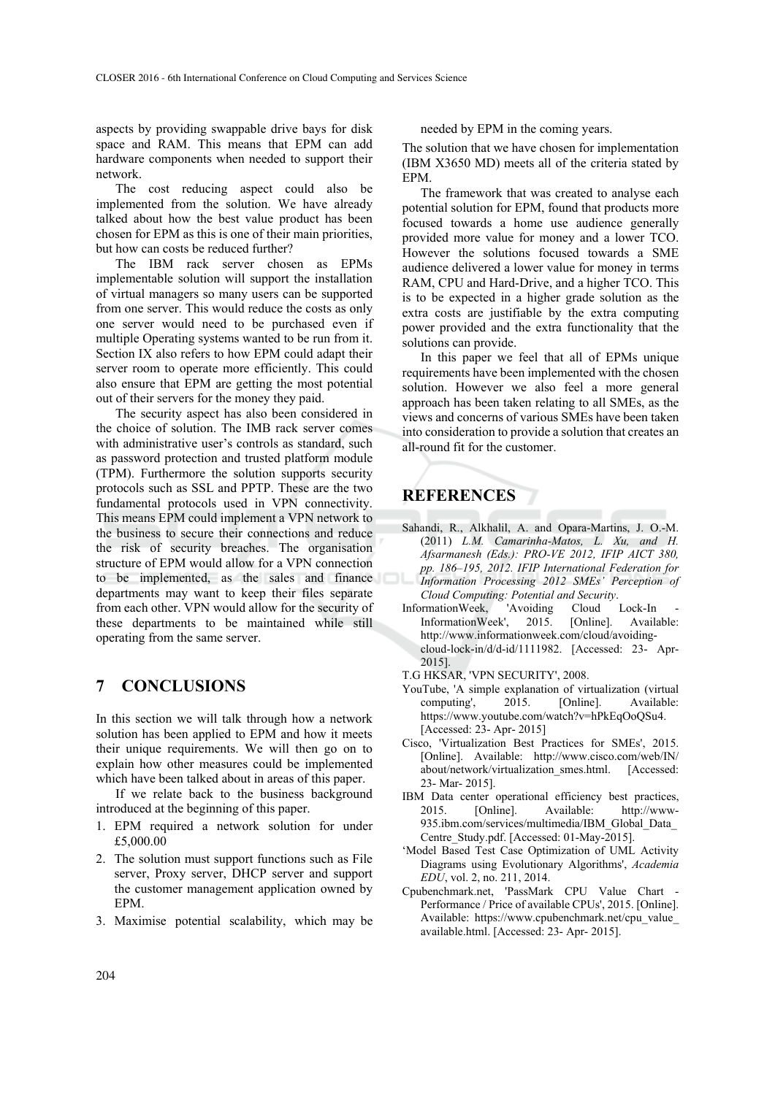aspects by providing swappable drive bays for disk space and RAM. This means that EPM can add hardware components when needed to support their network.

The cost reducing aspect could also be implemented from the solution. We have already talked about how the best value product has been chosen for EPM as this is one of their main priorities, but how can costs be reduced further?

The IBM rack server chosen as EPMs implementable solution will support the installation of virtual managers so many users can be supported from one server. This would reduce the costs as only one server would need to be purchased even if multiple Operating systems wanted to be run from it. Section IX also refers to how EPM could adapt their server room to operate more efficiently. This could also ensure that EPM are getting the most potential out of their servers for the money they paid.

The security aspect has also been considered in the choice of solution. The IMB rack server comes with administrative user's controls as standard, such as password protection and trusted platform module (TPM). Furthermore the solution supports security protocols such as SSL and PPTP. These are the two fundamental protocols used in VPN connectivity. This means EPM could implement a VPN network to the business to secure their connections and reduce the risk of security breaches. The organisation structure of EPM would allow for a VPN connection to be implemented, as the sales and finance departments may want to keep their files separate from each other. VPN would allow for the security of these departments to be maintained while still operating from the same server.

# **7 CONCLUSIONS**

In this section we will talk through how a network solution has been applied to EPM and how it meets their unique requirements. We will then go on to explain how other measures could be implemented which have been talked about in areas of this paper.

If we relate back to the business background introduced at the beginning of this paper.

- 1. EPM required a network solution for under £5,000.00
- 2. The solution must support functions such as File server, Proxy server, DHCP server and support the customer management application owned by EPM.
- 3. Maximise potential scalability, which may be

needed by EPM in the coming years.

The solution that we have chosen for implementation (IBM X3650 MD) meets all of the criteria stated by EPM.

The framework that was created to analyse each potential solution for EPM, found that products more focused towards a home use audience generally provided more value for money and a lower TCO. However the solutions focused towards a SME audience delivered a lower value for money in terms RAM, CPU and Hard-Drive, and a higher TCO. This is to be expected in a higher grade solution as the extra costs are justifiable by the extra computing power provided and the extra functionality that the solutions can provide.

In this paper we feel that all of EPMs unique requirements have been implemented with the chosen solution. However we also feel a more general approach has been taken relating to all SMEs, as the views and concerns of various SMEs have been taken into consideration to provide a solution that creates an all-round fit for the customer.

# **REFERENCES**

- Sahandi, R., Alkhalil, A. and Opara-Martins, J. O.-M. (2011) *L.M. Camarinha-Matos, L. Xu, and H. Afsarmanesh (Eds.): PRO-VE 2012, IFIP AICT 380, pp. 186–195, 2012. IFIP International Federation for Information Processing 2012 SMEs' Perception of Cloud Computing: Potential and Security*.
- InformationWeek, 'Avoiding Cloud Lock-In<br>InformationWeek', 2015. [Online]. Availa InformationWeek', 2015. [Online]. Available: http://www.informationweek.com/cloud/avoidingcloud-lock-in/d/d-id/1111982. [Accessed: 23- Apr-2015].
- T.G HKSAR, 'VPN SECURITY', 2008.
- YouTube, 'A simple explanation of virtualization (virtual computing', 2015. [Online]. Available: https://www.youtube.com/watch?v=hPkEqOoQSu4. [Accessed: 23- Apr- 2015]
- Cisco, 'Virtualization Best Practices for SMEs', 2015. [Online]. Available: http://www.cisco.com/web/IN/ about/network/virtualization\_smes.html. [Accessed: 23- Mar- 2015].
- IBM Data center operational efficiency best practices, 2015. [Online]. Available: http://www-935.ibm.com/services/multimedia/IBM\_Global\_Data\_ Centre\_Study.pdf. [Accessed: 01-May-2015].
- 'Model Based Test Case Optimization of UML Activity Diagrams using Evolutionary Algorithms', *Academia EDU*, vol. 2, no. 211, 2014.
- Cpubenchmark.net, 'PassMark CPU Value Chart Performance / Price of available CPUs', 2015. [Online]. Available: https://www.cpubenchmark.net/cpu\_value\_ available.html. [Accessed: 23- Apr- 2015].